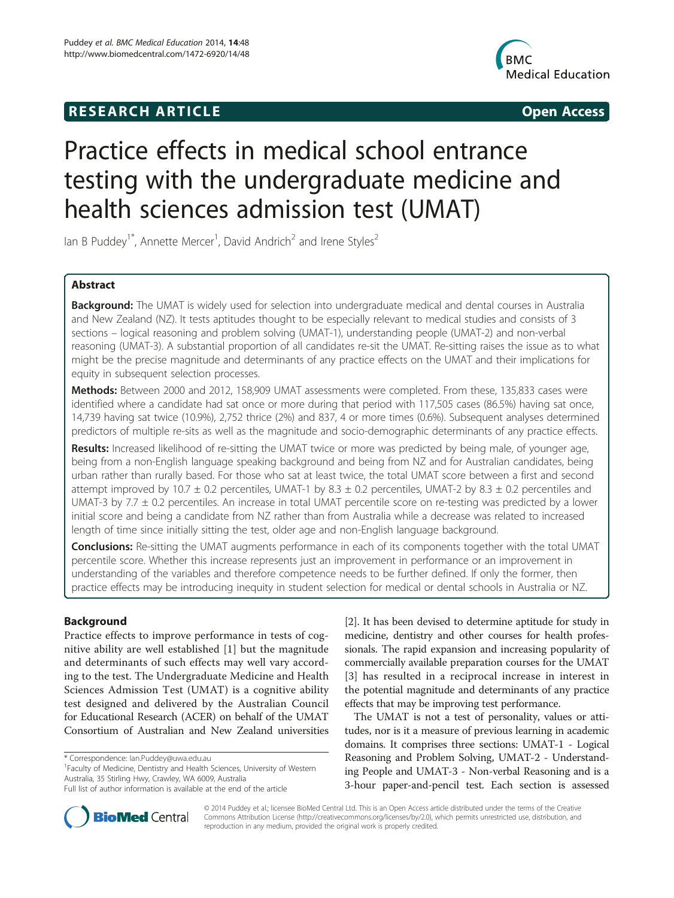## **RESEARCH ARTICLE Example 2014 12:30 The SEAR CHA RTICLE**



# Practice effects in medical school entrance testing with the undergraduate medicine and health sciences admission test (UMAT)

lan B Puddey<sup>1\*</sup>, Annette Mercer<sup>1</sup>, David Andrich<sup>2</sup> and Irene Styles<sup>2</sup>

## Abstract

Background: The UMAT is widely used for selection into undergraduate medical and dental courses in Australia and New Zealand (NZ). It tests aptitudes thought to be especially relevant to medical studies and consists of 3 sections – logical reasoning and problem solving (UMAT-1), understanding people (UMAT-2) and non-verbal reasoning (UMAT-3). A substantial proportion of all candidates re-sit the UMAT. Re-sitting raises the issue as to what might be the precise magnitude and determinants of any practice effects on the UMAT and their implications for equity in subsequent selection processes.

Methods: Between 2000 and 2012, 158,909 UMAT assessments were completed. From these, 135,833 cases were identified where a candidate had sat once or more during that period with 117,505 cases (86.5%) having sat once, 14,739 having sat twice (10.9%), 2,752 thrice (2%) and 837, 4 or more times (0.6%). Subsequent analyses determined predictors of multiple re-sits as well as the magnitude and socio-demographic determinants of any practice effects.

Results: Increased likelihood of re-sitting the UMAT twice or more was predicted by being male, of younger age, being from a non-English language speaking background and being from NZ and for Australian candidates, being urban rather than rurally based. For those who sat at least twice, the total UMAT score between a first and second attempt improved by 10.7  $\pm$  0.2 percentiles, UMAT-1 by 8.3  $\pm$  0.2 percentiles, UMAT-2 by 8.3  $\pm$  0.2 percentiles and UMAT-3 by 7.7  $\pm$  0.2 percentiles. An increase in total UMAT percentile score on re-testing was predicted by a lower initial score and being a candidate from NZ rather than from Australia while a decrease was related to increased length of time since initially sitting the test, older age and non-English language background.

Conclusions: Re-sitting the UMAT augments performance in each of its components together with the total UMAT percentile score. Whether this increase represents just an improvement in performance or an improvement in understanding of the variables and therefore competence needs to be further defined. If only the former, then practice effects may be introducing inequity in student selection for medical or dental schools in Australia or NZ.

## Background

Practice effects to improve performance in tests of cognitive ability are well established [[1\]](#page-14-0) but the magnitude and determinants of such effects may well vary according to the test. The Undergraduate Medicine and Health Sciences Admission Test (UMAT) is a cognitive ability test designed and delivered by the Australian Council for Educational Research (ACER) on behalf of the UMAT Consortium of Australian and New Zealand universities

<sup>1</sup> Faculty of Medicine, Dentistry and Health Sciences, University of Western Australia, 35 Stirling Hwy, Crawley, WA 6009, Australia

[[2\]](#page-14-0). It has been devised to determine aptitude for study in medicine, dentistry and other courses for health professionals. The rapid expansion and increasing popularity of commercially available preparation courses for the UMAT [[3](#page-14-0)] has resulted in a reciprocal increase in interest in the potential magnitude and determinants of any practice effects that may be improving test performance.

The UMAT is not a test of personality, values or attitudes, nor is it a measure of previous learning in academic domains. It comprises three sections: UMAT-1 - Logical Reasoning and Problem Solving, UMAT-2 - Understanding People and UMAT-3 - Non-verbal Reasoning and is a 3-hour paper-and-pencil test. Each section is assessed



© 2014 Puddey et al.; licensee BioMed Central Ltd. This is an Open Access article distributed under the terms of the Creative Commons Attribution License [\(http://creativecommons.org/licenses/by/2.0\)](http://creativecommons.org/licenses/by/2.0), which permits unrestricted use, distribution, and reproduction in any medium, provided the original work is properly credited.

<sup>\*</sup> Correspondence: [Ian.Puddey@uwa.edu.au](mailto:Ian.Puddey@uwa.edu.au) <sup>1</sup>

Full list of author information is available at the end of the article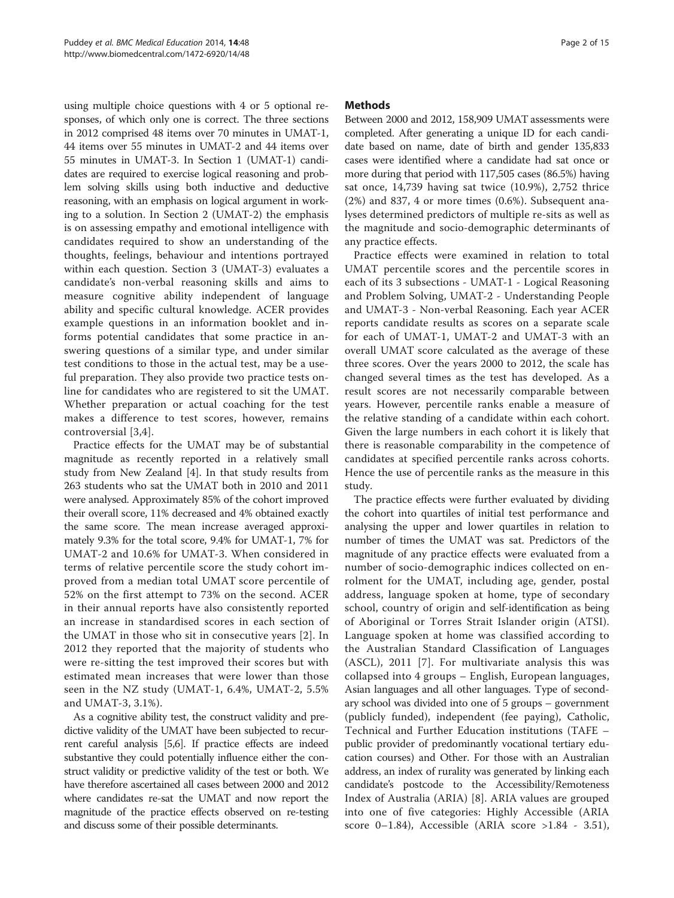using multiple choice questions with 4 or 5 optional responses, of which only one is correct. The three sections in 2012 comprised 48 items over 70 minutes in UMAT-1, 44 items over 55 minutes in UMAT-2 and 44 items over 55 minutes in UMAT-3. In Section 1 (UMAT-1) candidates are required to exercise logical reasoning and problem solving skills using both inductive and deductive reasoning, with an emphasis on logical argument in working to a solution. In Section 2 (UMAT-2) the emphasis is on assessing empathy and emotional intelligence with candidates required to show an understanding of the thoughts, feelings, behaviour and intentions portrayed within each question. Section 3 (UMAT-3) evaluates a candidate's non-verbal reasoning skills and aims to measure cognitive ability independent of language ability and specific cultural knowledge. ACER provides example questions in an information booklet and informs potential candidates that some practice in answering questions of a similar type, and under similar test conditions to those in the actual test, may be a useful preparation. They also provide two practice tests online for candidates who are registered to sit the UMAT. Whether preparation or actual coaching for the test makes a difference to test scores, however, remains controversial [[3,4](#page-14-0)].

Practice effects for the UMAT may be of substantial magnitude as recently reported in a relatively small study from New Zealand [[4\]](#page-14-0). In that study results from 263 students who sat the UMAT both in 2010 and 2011 were analysed. Approximately 85% of the cohort improved their overall score, 11% decreased and 4% obtained exactly the same score. The mean increase averaged approximately 9.3% for the total score, 9.4% for UMAT-1, 7% for UMAT-2 and 10.6% for UMAT-3. When considered in terms of relative percentile score the study cohort improved from a median total UMAT score percentile of 52% on the first attempt to 73% on the second. ACER in their annual reports have also consistently reported an increase in standardised scores in each section of the UMAT in those who sit in consecutive years [[2](#page-14-0)]. In 2012 they reported that the majority of students who were re-sitting the test improved their scores but with estimated mean increases that were lower than those seen in the NZ study (UMAT-1, 6.4%, UMAT-2, 5.5% and UMAT-3, 3.1%).

As a cognitive ability test, the construct validity and predictive validity of the UMAT have been subjected to recurrent careful analysis [[5,6](#page-14-0)]. If practice effects are indeed substantive they could potentially influence either the construct validity or predictive validity of the test or both. We have therefore ascertained all cases between 2000 and 2012 where candidates re-sat the UMAT and now report the magnitude of the practice effects observed on re-testing and discuss some of their possible determinants.

## Methods

Between 2000 and 2012, 158,909 UMAT assessments were completed. After generating a unique ID for each candidate based on name, date of birth and gender 135,833 cases were identified where a candidate had sat once or more during that period with 117,505 cases (86.5%) having sat once, 14,739 having sat twice (10.9%), 2,752 thrice (2%) and 837, 4 or more times (0.6%). Subsequent analyses determined predictors of multiple re-sits as well as the magnitude and socio-demographic determinants of any practice effects.

Practice effects were examined in relation to total UMAT percentile scores and the percentile scores in each of its 3 subsections - UMAT-1 - Logical Reasoning and Problem Solving, UMAT-2 - Understanding People and UMAT-3 - Non-verbal Reasoning. Each year ACER reports candidate results as scores on a separate scale for each of UMAT-1, UMAT-2 and UMAT-3 with an overall UMAT score calculated as the average of these three scores. Over the years 2000 to 2012, the scale has changed several times as the test has developed. As a result scores are not necessarily comparable between years. However, percentile ranks enable a measure of the relative standing of a candidate within each cohort. Given the large numbers in each cohort it is likely that there is reasonable comparability in the competence of candidates at specified percentile ranks across cohorts. Hence the use of percentile ranks as the measure in this study.

The practice effects were further evaluated by dividing the cohort into quartiles of initial test performance and analysing the upper and lower quartiles in relation to number of times the UMAT was sat. Predictors of the magnitude of any practice effects were evaluated from a number of socio-demographic indices collected on enrolment for the UMAT, including age, gender, postal address, language spoken at home, type of secondary school, country of origin and self-identification as being of Aboriginal or Torres Strait Islander origin (ATSI). Language spoken at home was classified according to the Australian Standard Classification of Languages (ASCL), 2011 [[7\]](#page-14-0). For multivariate analysis this was collapsed into 4 groups – English, European languages, Asian languages and all other languages. Type of secondary school was divided into one of 5 groups – government (publicly funded), independent (fee paying), Catholic, Technical and Further Education institutions (TAFE – public provider of predominantly vocational tertiary education courses) and Other. For those with an Australian address, an index of rurality was generated by linking each candidate's postcode to the Accessibility/Remoteness Index of Australia (ARIA) [[8\]](#page-14-0). ARIA values are grouped into one of five categories: Highly Accessible (ARIA score 0–1.84), Accessible (ARIA score >1.84 - 3.51),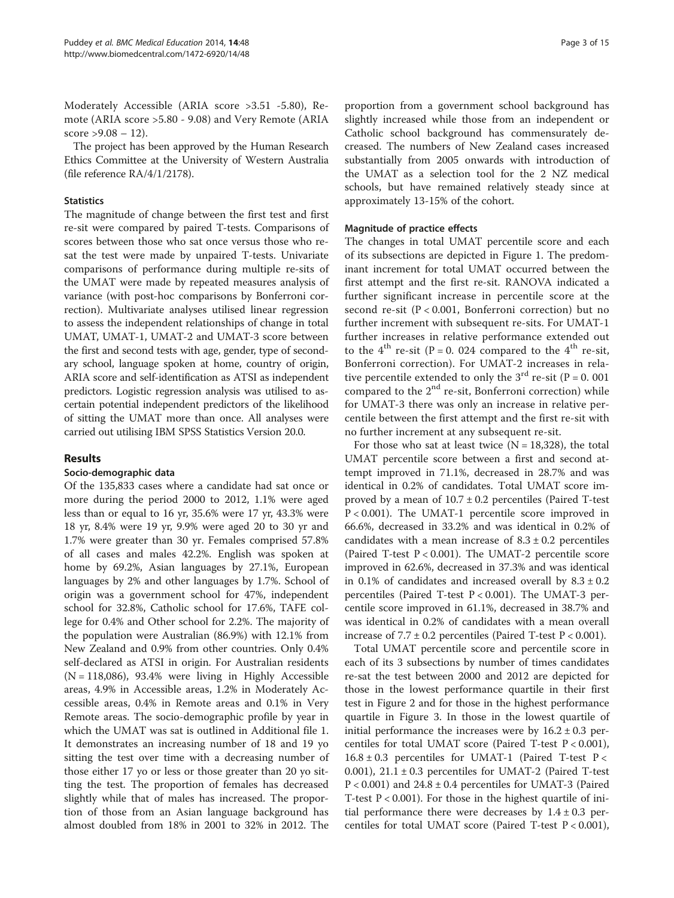Moderately Accessible (ARIA score >3.51 -5.80), Remote (ARIA score >5.80 - 9.08) and Very Remote (ARIA score  $>9.08 - 12$ ).

The project has been approved by the Human Research Ethics Committee at the University of Western Australia (file reference RA/4/1/2178).

### **Statistics**

The magnitude of change between the first test and first re-sit were compared by paired T-tests. Comparisons of scores between those who sat once versus those who resat the test were made by unpaired T-tests. Univariate comparisons of performance during multiple re-sits of the UMAT were made by repeated measures analysis of variance (with post-hoc comparisons by Bonferroni correction). Multivariate analyses utilised linear regression to assess the independent relationships of change in total UMAT, UMAT-1, UMAT-2 and UMAT-3 score between the first and second tests with age, gender, type of secondary school, language spoken at home, country of origin, ARIA score and self-identification as ATSI as independent predictors. Logistic regression analysis was utilised to ascertain potential independent predictors of the likelihood of sitting the UMAT more than once. All analyses were carried out utilising IBM SPSS Statistics Version 20.0.

## Results

### Socio-demographic data

Of the 135,833 cases where a candidate had sat once or more during the period 2000 to 2012, 1.1% were aged less than or equal to 16 yr, 35.6% were 17 yr, 43.3% were 18 yr, 8.4% were 19 yr, 9.9% were aged 20 to 30 yr and 1.7% were greater than 30 yr. Females comprised 57.8% of all cases and males 42.2%. English was spoken at home by 69.2%, Asian languages by 27.1%, European languages by 2% and other languages by 1.7%. School of origin was a government school for 47%, independent school for 32.8%, Catholic school for 17.6%, TAFE college for 0.4% and Other school for 2.2%. The majority of the population were Australian (86.9%) with 12.1% from New Zealand and 0.9% from other countries. Only 0.4% self-declared as ATSI in origin. For Australian residents  $(N = 118,086)$ , 93.4% were living in Highly Accessible areas, 4.9% in Accessible areas, 1.2% in Moderately Accessible areas, 0.4% in Remote areas and 0.1% in Very Remote areas. The socio-demographic profile by year in which the UMAT was sat is outlined in Additional file [1](#page-13-0). It demonstrates an increasing number of 18 and 19 yo sitting the test over time with a decreasing number of those either 17 yo or less or those greater than 20 yo sitting the test. The proportion of females has decreased slightly while that of males has increased. The proportion of those from an Asian language background has almost doubled from 18% in 2001 to 32% in 2012. The

proportion from a government school background has slightly increased while those from an independent or Catholic school background has commensurately decreased. The numbers of New Zealand cases increased substantially from 2005 onwards with introduction of the UMAT as a selection tool for the 2 NZ medical schools, but have remained relatively steady since at approximately 13-15% of the cohort.

### Magnitude of practice effects

The changes in total UMAT percentile score and each of its subsections are depicted in Figure [1](#page-3-0). The predominant increment for total UMAT occurred between the first attempt and the first re-sit. RANOVA indicated a further significant increase in percentile score at the second re-sit (P < 0.001, Bonferroni correction) but no further increment with subsequent re-sits. For UMAT-1 further increases in relative performance extended out to the 4<sup>th</sup> re-sit (P = 0. 024 compared to the 4<sup>th</sup> re-sit, Bonferroni correction). For UMAT-2 increases in relative percentile extended to only the  $3<sup>rd</sup>$  re-sit (P = 0.001) compared to the  $2<sup>nd</sup>$  re-sit, Bonferroni correction) while for UMAT-3 there was only an increase in relative percentile between the first attempt and the first re-sit with no further increment at any subsequent re-sit.

For those who sat at least twice  $(N = 18,328)$ , the total UMAT percentile score between a first and second attempt improved in 71.1%, decreased in 28.7% and was identical in 0.2% of candidates. Total UMAT score improved by a mean of  $10.7 \pm 0.2$  percentiles (Paired T-test P < 0.001). The UMAT-1 percentile score improved in 66.6%, decreased in 33.2% and was identical in 0.2% of candidates with a mean increase of  $8.3 \pm 0.2$  percentiles (Paired T-test P < 0.001). The UMAT-2 percentile score improved in 62.6%, decreased in 37.3% and was identical in 0.1% of candidates and increased overall by  $8.3 \pm 0.2$ percentiles (Paired T-test P < 0.001). The UMAT-3 percentile score improved in 61.1%, decreased in 38.7% and was identical in 0.2% of candidates with a mean overall increase of  $7.7 \pm 0.2$  percentiles (Paired T-test P < 0.001).

Total UMAT percentile score and percentile score in each of its 3 subsections by number of times candidates re-sat the test between 2000 and 2012 are depicted for those in the lowest performance quartile in their first test in Figure [2](#page-4-0) and for those in the highest performance quartile in Figure [3](#page-5-0). In those in the lowest quartile of initial performance the increases were by  $16.2 \pm 0.3$  percentiles for total UMAT score (Paired T-test  $P < 0.001$ ), 16.8 ± 0.3 percentiles for UMAT-1 (Paired T-test P < 0.001),  $21.1 \pm 0.3$  percentiles for UMAT-2 (Paired T-test  $P < 0.001$ ) and  $24.8 \pm 0.4$  percentiles for UMAT-3 (Paired T-test P < 0.001). For those in the highest quartile of initial performance there were decreases by  $1.4 \pm 0.3$  percentiles for total UMAT score (Paired T-test P < 0.001),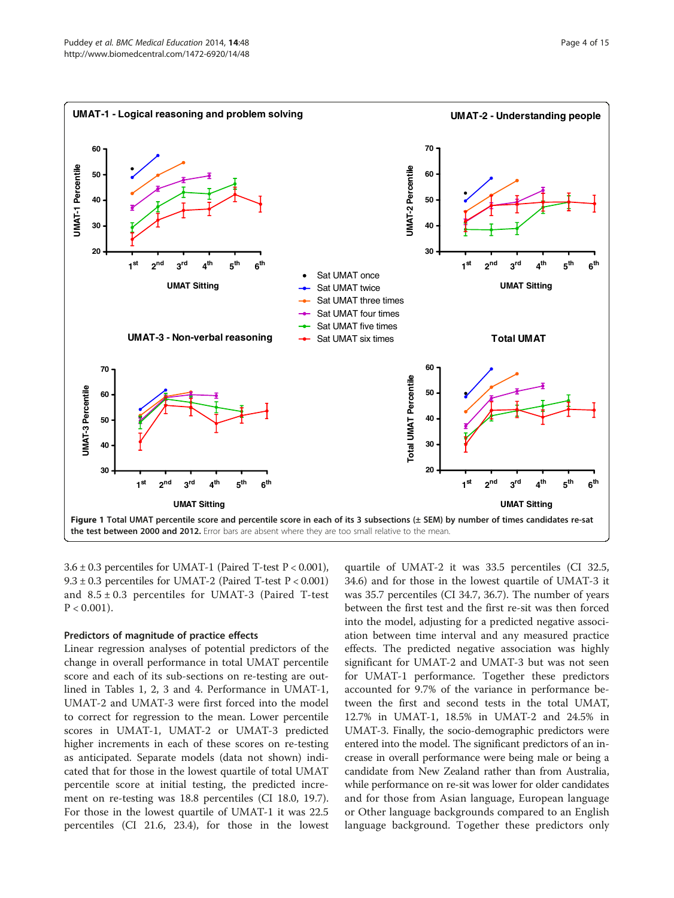<span id="page-3-0"></span>

 $3.6 \pm 0.3$  percentiles for UMAT-1 (Paired T-test P < 0.001), 9.3 ± 0.3 percentiles for UMAT-2 (Paired T-test P < 0.001) and  $8.5 \pm 0.3$  percentiles for UMAT-3 (Paired T-test  $P < 0.001$ ).

### Predictors of magnitude of practice effects

Linear regression analyses of potential predictors of the change in overall performance in total UMAT percentile score and each of its sub-sections on re-testing are outlined in Tables [1](#page-6-0), [2](#page-7-0), [3](#page-8-0) and [4](#page-9-0). Performance in UMAT-1, UMAT-2 and UMAT-3 were first forced into the model to correct for regression to the mean. Lower percentile scores in UMAT-1, UMAT-2 or UMAT-3 predicted higher increments in each of these scores on re-testing as anticipated. Separate models (data not shown) indicated that for those in the lowest quartile of total UMAT percentile score at initial testing, the predicted increment on re-testing was 18.8 percentiles (CI 18.0, 19.7). For those in the lowest quartile of UMAT-1 it was 22.5 percentiles (CI 21.6, 23.4), for those in the lowest

quartile of UMAT-2 it was 33.5 percentiles (CI 32.5, 34.6) and for those in the lowest quartile of UMAT-3 it was 35.7 percentiles (CI 34.7, 36.7). The number of years between the first test and the first re-sit was then forced into the model, adjusting for a predicted negative association between time interval and any measured practice effects. The predicted negative association was highly significant for UMAT-2 and UMAT-3 but was not seen for UMAT-1 performance. Together these predictors accounted for 9.7% of the variance in performance between the first and second tests in the total UMAT, 12.7% in UMAT-1, 18.5% in UMAT-2 and 24.5% in UMAT-3. Finally, the socio-demographic predictors were entered into the model. The significant predictors of an increase in overall performance were being male or being a candidate from New Zealand rather than from Australia, while performance on re-sit was lower for older candidates and for those from Asian language, European language or Other language backgrounds compared to an English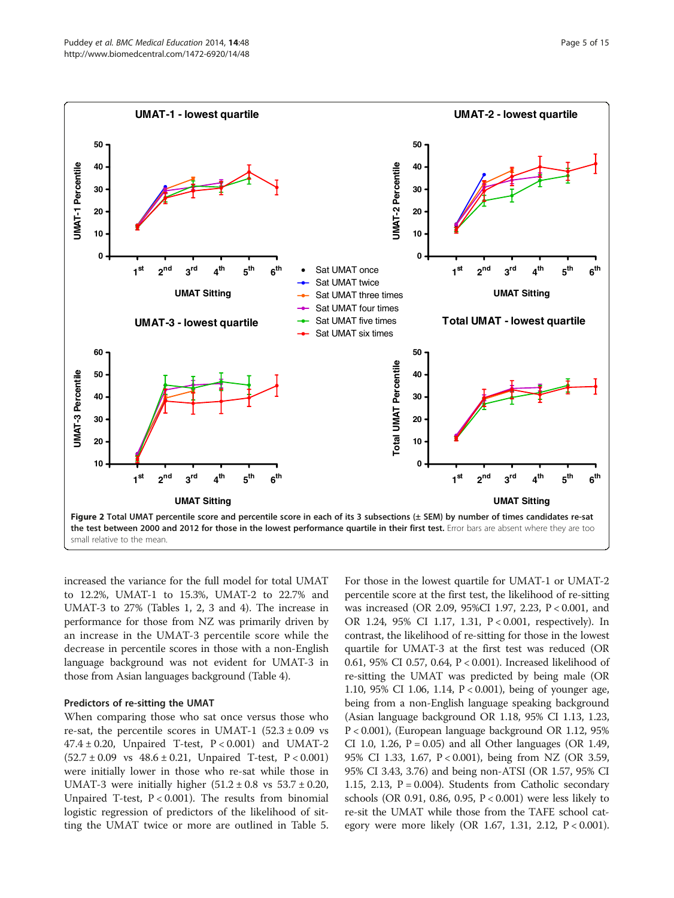<span id="page-4-0"></span>

increased the variance for the full model for total UMAT to 12.2%, UMAT-1 to 15.3%, UMAT-2 to 22.7% and UMAT-3 to 27% (Tables [1](#page-6-0), [2](#page-7-0), [3](#page-8-0) and [4](#page-9-0)). The increase in performance for those from NZ was primarily driven by an increase in the UMAT-3 percentile score while the decrease in percentile scores in those with a non-English language background was not evident for UMAT-3 in those from Asian languages background (Table [4\)](#page-9-0).

#### Predictors of re-sitting the UMAT

When comparing those who sat once versus those who re-sat, the percentile scores in UMAT-1  $(52.3 \pm 0.09 \text{ vs }$ 47.4  $\pm$  0.20, Unpaired T-test, P < 0.001) and UMAT-2 (52.7 ± 0.09 vs 48.6 ± 0.21, Unpaired T-test, P < 0.001) were initially lower in those who re-sat while those in UMAT-3 were initially higher  $(51.2 \pm 0.8 \text{ vs } 53.7 \pm 0.20,$ Unpaired T-test,  $P < 0.001$ ). The results from binomial logistic regression of predictors of the likelihood of sitting the UMAT twice or more are outlined in Table [5](#page-10-0).

For those in the lowest quartile for UMAT-1 or UMAT-2 percentile score at the first test, the likelihood of re-sitting was increased (OR 2.09, 95%CI 1.97, 2.23, P < 0.001, and OR 1.24, 95% CI 1.17, 1.31, P < 0.001, respectively). In contrast, the likelihood of re-sitting for those in the lowest quartile for UMAT-3 at the first test was reduced (OR 0.61, 95% CI 0.57, 0.64, P < 0.001). Increased likelihood of re-sitting the UMAT was predicted by being male (OR 1.10, 95% CI 1.06, 1.14, P < 0.001), being of younger age, being from a non-English language speaking background (Asian language background OR 1.18, 95% CI 1.13, 1.23, P < 0.001), (European language background OR 1.12, 95% CI 1.0, 1.26,  $P = 0.05$ ) and all Other languages (OR 1.49, 95% CI 1.33, 1.67, P < 0.001), being from NZ (OR 3.59, 95% CI 3.43, 3.76) and being non-ATSI (OR 1.57, 95% CI 1.15, 2.13,  $P = 0.004$ ). Students from Catholic secondary schools (OR 0.91, 0.86, 0.95, P < 0.001) were less likely to re-sit the UMAT while those from the TAFE school category were more likely (OR 1.67, 1.31, 2.12, P < 0.001).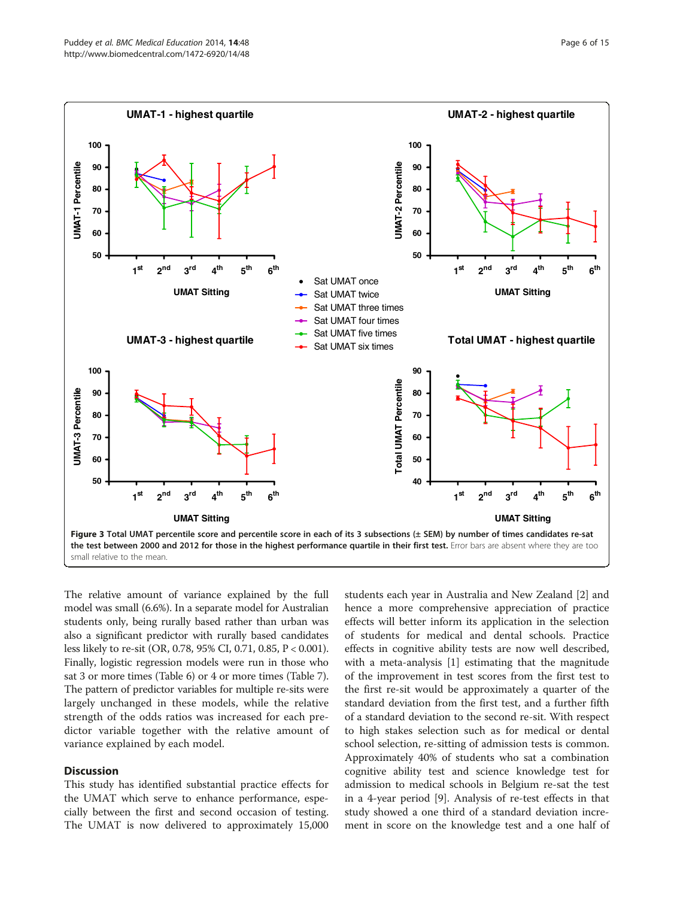<span id="page-5-0"></span>

The relative amount of variance explained by the full model was small (6.6%). In a separate model for Australian students only, being rurally based rather than urban was also a significant predictor with rurally based candidates less likely to re-sit (OR, 0.78, 95% CI, 0.71, 0.85, P < 0.001). Finally, logistic regression models were run in those who sat 3 or more times (Table [6](#page-11-0)) or 4 or more times (Table [7](#page-12-0)). The pattern of predictor variables for multiple re-sits were largely unchanged in these models, while the relative strength of the odds ratios was increased for each predictor variable together with the relative amount of variance explained by each model.

## **Discussion**

This study has identified substantial practice effects for the UMAT which serve to enhance performance, especially between the first and second occasion of testing. The UMAT is now delivered to approximately 15,000

students each year in Australia and New Zealand [[2](#page-14-0)] and hence a more comprehensive appreciation of practice effects will better inform its application in the selection of students for medical and dental schools. Practice effects in cognitive ability tests are now well described, with a meta-analysis [\[1](#page-14-0)] estimating that the magnitude of the improvement in test scores from the first test to the first re-sit would be approximately a quarter of the standard deviation from the first test, and a further fifth of a standard deviation to the second re-sit. With respect to high stakes selection such as for medical or dental school selection, re-sitting of admission tests is common. Approximately 40% of students who sat a combination cognitive ability test and science knowledge test for admission to medical schools in Belgium re-sat the test in a 4-year period [\[9](#page-14-0)]. Analysis of re-test effects in that study showed a one third of a standard deviation increment in score on the knowledge test and a one half of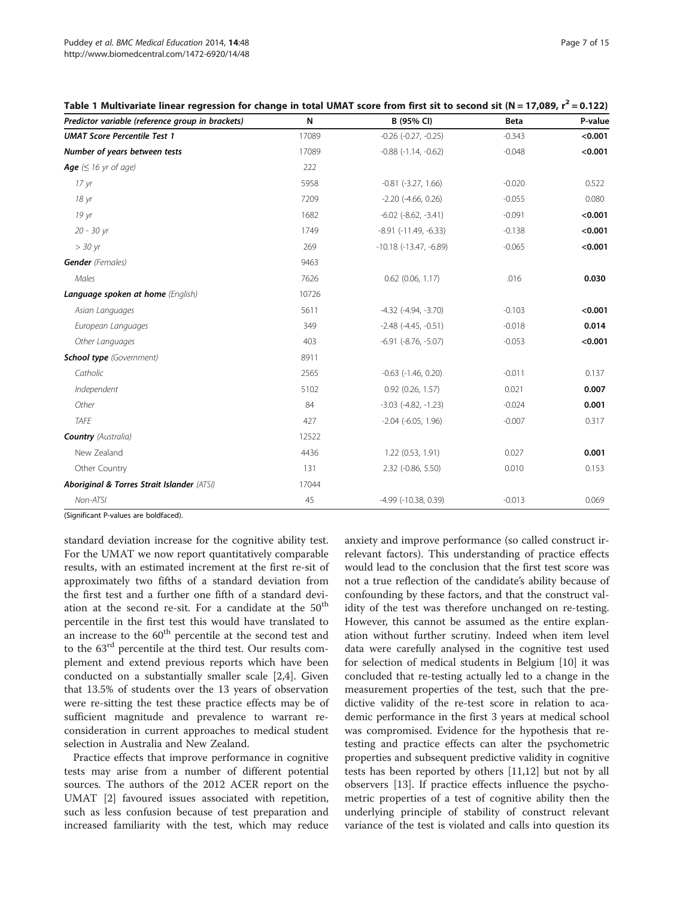| Predictor variable (reference group in brackets)      | N     | B (95% CI)                      | <b>Beta</b> | P-value |
|-------------------------------------------------------|-------|---------------------------------|-------------|---------|
| <b>UMAT Score Percentile Test 1</b>                   | 17089 | $-0.26$ $(-0.27, -0.25)$        | $-0.343$    | < 0.001 |
| Number of years between tests                         | 17089 | $-0.88$ $(-1.14, -0.62)$        | $-0.048$    | < 0.001 |
| Age $( \leq 16 \text{ yr of age})$                    | 222   |                                 |             |         |
| 17 <sub>yr</sub>                                      | 5958  | $-0.81$ $(-3.27, 1.66)$         | $-0.020$    | 0.522   |
| 18 yr                                                 | 7209  | $-2.20$ $(-4.66, 0.26)$         | $-0.055$    | 0.080   |
| 19 yr                                                 | 1682  | $-6.02$ $(-8.62, -3.41)$        | $-0.091$    | < 0.001 |
| 20 - 30 yr                                            | 1749  | $-8.91$ $(-11.49, -6.33)$       | $-0.138$    | < 0.001 |
| $> 30$ yr                                             | 269   | $-10.18$ ( $-13.47$ , $-6.89$ ) | $-0.065$    | < 0.001 |
| Gender (Females)                                      | 9463  |                                 |             |         |
| Males                                                 | 7626  | $0.62$ (0.06, 1.17)             | .016        | 0.030   |
| Language spoken at home (English)                     | 10726 |                                 |             |         |
| Asian Languages                                       | 5611  | $-4.32$ $(-4.94, -3.70)$        | $-0.103$    | < 0.001 |
| European Languages                                    | 349   | $-2.48$ $(-4.45, -0.51)$        | $-0.018$    | 0.014   |
| Other Languages                                       | 403   | $-6.91$ $(-8.76, -5.07)$        | $-0.053$    | < 0.001 |
| <b>School type</b> (Government)                       | 8911  |                                 |             |         |
| Catholic                                              | 2565  | $-0.63$ $(-1.46, 0.20)$         | $-0.011$    | 0.137   |
| Independent                                           | 5102  | $0.92$ $(0.26, 1.57)$           | 0.021       | 0.007   |
| Other                                                 | 84    | $-3.03$ $(-4.82, -1.23)$        | $-0.024$    | 0.001   |
| <b>TAFE</b>                                           | 427   | $-2.04$ $(-6.05, 1.96)$         | $-0.007$    | 0.317   |
| <b>Country</b> (Australia)                            | 12522 |                                 |             |         |
| New Zealand                                           | 4436  | 1.22(0.53, 1.91)                | 0.027       | 0.001   |
| Other Country                                         | 131   | 2.32 (-0.86, 5.50)              | 0.010       | 0.153   |
| <b>Aboriginal &amp; Torres Strait Islander (ATSI)</b> | 17044 |                                 |             |         |
| Non-ATSI                                              | 45    | -4.99 (-10.38, 0.39)            | $-0.013$    | 0.069   |

<span id="page-6-0"></span>

| Table 1 Multivariate linear regression for change in total UMAT score from first sit to second sit (N = 17,089, $r^2$ = 0.122) |  |
|--------------------------------------------------------------------------------------------------------------------------------|--|
|--------------------------------------------------------------------------------------------------------------------------------|--|

standard deviation increase for the cognitive ability test. For the UMAT we now report quantitatively comparable results, with an estimated increment at the first re-sit of approximately two fifths of a standard deviation from the first test and a further one fifth of a standard deviation at the second re-sit. For a candidate at the  $50<sup>th</sup>$ percentile in the first test this would have translated to an increase to the 60<sup>th</sup> percentile at the second test and to the 63rd percentile at the third test. Our results complement and extend previous reports which have been conducted on a substantially smaller scale [[2,4\]](#page-14-0). Given that 13.5% of students over the 13 years of observation were re-sitting the test these practice effects may be of sufficient magnitude and prevalence to warrant reconsideration in current approaches to medical student selection in Australia and New Zealand.

Practice effects that improve performance in cognitive tests may arise from a number of different potential sources. The authors of the 2012 ACER report on the UMAT [[2\]](#page-14-0) favoured issues associated with repetition, such as less confusion because of test preparation and increased familiarity with the test, which may reduce anxiety and improve performance (so called construct irrelevant factors). This understanding of practice effects would lead to the conclusion that the first test score was not a true reflection of the candidate's ability because of confounding by these factors, and that the construct validity of the test was therefore unchanged on re-testing. However, this cannot be assumed as the entire explanation without further scrutiny. Indeed when item level data were carefully analysed in the cognitive test used for selection of medical students in Belgium [\[10](#page-14-0)] it was concluded that re-testing actually led to a change in the measurement properties of the test, such that the predictive validity of the re-test score in relation to academic performance in the first 3 years at medical school was compromised. Evidence for the hypothesis that retesting and practice effects can alter the psychometric properties and subsequent predictive validity in cognitive tests has been reported by others [\[11,12\]](#page-14-0) but not by all observers [[13\]](#page-14-0). If practice effects influence the psychometric properties of a test of cognitive ability then the underlying principle of stability of construct relevant variance of the test is violated and calls into question its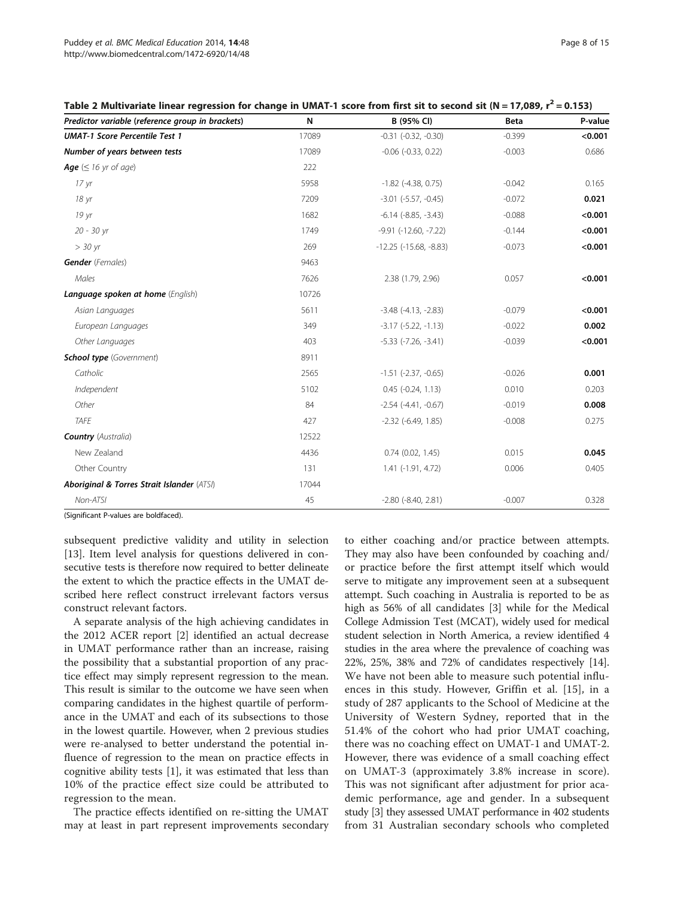| Predictor variable (reference group in brackets)      | N     | B (95% CI)                      | <b>Beta</b> | P-value |
|-------------------------------------------------------|-------|---------------------------------|-------------|---------|
| <b>UMAT-1 Score Percentile Test 1</b>                 | 17089 | $-0.31$ $(-0.32, -0.30)$        | $-0.399$    | < 0.001 |
| Number of years between tests                         | 17089 | $-0.06$ $(-0.33, 0.22)$         | $-0.003$    | 0.686   |
| <b>Age</b> $(\leq 16$ yr of age)                      | 222   |                                 |             |         |
| 17 <sub>yr</sub>                                      | 5958  | $-1.82$ ( $-4.38$ , 0.75)       | $-0.042$    | 0.165   |
| 18 yr                                                 | 7209  | $-3.01$ $(-5.57, -0.45)$        | $-0.072$    | 0.021   |
| 19 yr                                                 | 1682  | $-6.14$ $(-8.85, -3.43)$        | $-0.088$    | < 0.001 |
| 20 - 30 yr                                            | 1749  | $-9.91$ $(-12.60, -7.22)$       | $-0.144$    | < 0.001 |
| $> 30$ yr                                             | 269   | $-12.25$ ( $-15.68$ , $-8.83$ ) | $-0.073$    | < 0.001 |
| Gender (Females)                                      | 9463  |                                 |             |         |
| Males                                                 | 7626  | 2.38 (1.79, 2.96)               | 0.057       | < 0.001 |
| Language spoken at home (English)                     | 10726 |                                 |             |         |
| Asian Languages                                       | 5611  | $-3.48$ $(-4.13, -2.83)$        | $-0.079$    | < 0.001 |
| European Languages                                    | 349   | $-3.17$ $(-5.22, -1.13)$        | $-0.022$    | 0.002   |
| Other Languages                                       | 403   | $-5.33$ $(-7.26, -3.41)$        | $-0.039$    | < 0.001 |
| <b>School type</b> (Government)                       | 8911  |                                 |             |         |
| Catholic                                              | 2565  | $-1.51$ $(-2.37, -0.65)$        | $-0.026$    | 0.001   |
| Independent                                           | 5102  | $0.45$ $(-0.24, 1.13)$          | 0.010       | 0.203   |
| Other                                                 | 84    | $-2.54$ $(-4.41, -0.67)$        | $-0.019$    | 0.008   |
| <b>TAFE</b>                                           | 427   | $-2.32$ $(-6.49, 1.85)$         | $-0.008$    | 0.275   |
| <b>Country</b> (Australia)                            | 12522 |                                 |             |         |
| New Zealand                                           | 4436  | 0.74(0.02, 1.45)                | 0.015       | 0.045   |
| Other Country                                         | 131   | 1.41 (-1.91, 4.72)              | 0.006       | 0.405   |
| <b>Aboriginal &amp; Torres Strait Islander (ATSI)</b> | 17044 |                                 |             |         |
| Non-ATSI                                              | 45    | $-2.80$ $(-8.40, 2.81)$         | $-0.007$    | 0.328   |

<span id="page-7-0"></span>in LIMAT-1 score from first sit to second sit  $(N - 17,089, z^2 - 0.153)$ 

subsequent predictive validity and utility in selection [[13\]](#page-14-0). Item level analysis for questions delivered in consecutive tests is therefore now required to better delineate the extent to which the practice effects in the UMAT described here reflect construct irrelevant factors versus construct relevant factors.

A separate analysis of the high achieving candidates in the 2012 ACER report [[2\]](#page-14-0) identified an actual decrease in UMAT performance rather than an increase, raising the possibility that a substantial proportion of any practice effect may simply represent regression to the mean. This result is similar to the outcome we have seen when comparing candidates in the highest quartile of performance in the UMAT and each of its subsections to those in the lowest quartile. However, when 2 previous studies were re-analysed to better understand the potential influence of regression to the mean on practice effects in cognitive ability tests [\[1](#page-14-0)], it was estimated that less than 10% of the practice effect size could be attributed to regression to the mean.

The practice effects identified on re-sitting the UMAT may at least in part represent improvements secondary

to either coaching and/or practice between attempts. They may also have been confounded by coaching and/ or practice before the first attempt itself which would serve to mitigate any improvement seen at a subsequent attempt. Such coaching in Australia is reported to be as high as 56% of all candidates [\[3](#page-14-0)] while for the Medical College Admission Test (MCAT), widely used for medical student selection in North America, a review identified 4 studies in the area where the prevalence of coaching was 22%, 25%, 38% and 72% of candidates respectively [[14](#page-14-0)]. We have not been able to measure such potential influences in this study. However, Griffin et al. [[15\]](#page-14-0), in a study of 287 applicants to the School of Medicine at the University of Western Sydney, reported that in the 51.4% of the cohort who had prior UMAT coaching, there was no coaching effect on UMAT-1 and UMAT-2. However, there was evidence of a small coaching effect on UMAT-3 (approximately 3.8% increase in score). This was not significant after adjustment for prior academic performance, age and gender. In a subsequent study [\[3\]](#page-14-0) they assessed UMAT performance in 402 students from 31 Australian secondary schools who completed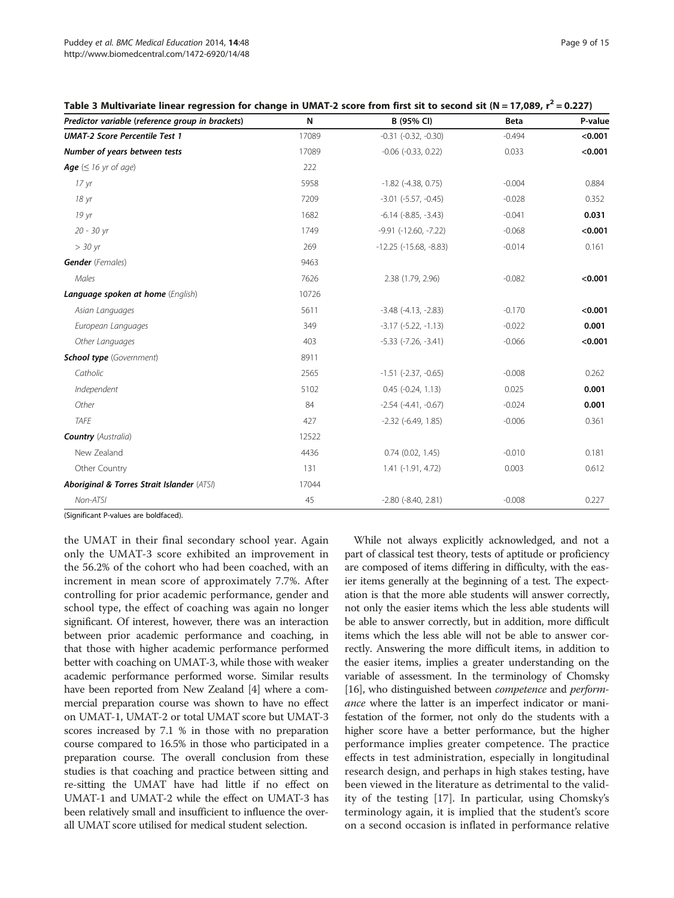| Predictor variable (reference group in brackets)      | N     | B (95% CI)                      | <b>Beta</b> | P-value |
|-------------------------------------------------------|-------|---------------------------------|-------------|---------|
| <b>UMAT-2 Score Percentile Test 1</b>                 | 17089 | $-0.31$ $(-0.32, -0.30)$        | $-0.494$    | < 0.001 |
| Number of years between tests                         | 17089 | $-0.06$ $(-0.33, 0.22)$         | 0.033       | < 0.001 |
| <b>Age</b> ( $\leq$ 16 yr of age)                     | 222   |                                 |             |         |
| 17 <sub>yr</sub>                                      | 5958  | $-1.82$ ( $-4.38$ , 0.75)       | $-0.004$    | 0.884   |
| 18 yr                                                 | 7209  | $-3.01$ $(-5.57, -0.45)$        | $-0.028$    | 0.352   |
| 19 yr                                                 | 1682  | $-6.14$ $(-8.85, -3.43)$        | $-0.041$    | 0.031   |
| 20 - 30 yr                                            | 1749  | $-9.91$ $(-12.60, -7.22)$       | $-0.068$    | < 0.001 |
| $> 30$ yr                                             | 269   | $-12.25$ ( $-15.68$ , $-8.83$ ) | $-0.014$    | 0.161   |
| Gender (Females)                                      | 9463  |                                 |             |         |
| Males                                                 | 7626  | 2.38 (1.79, 2.96)               | $-0.082$    | < 0.001 |
| Language spoken at home (English)                     | 10726 |                                 |             |         |
| Asian Languages                                       | 5611  | $-3.48$ $(-4.13, -2.83)$        | $-0.170$    | < 0.001 |
| European Languages                                    | 349   | $-3.17$ $(-5.22, -1.13)$        | $-0.022$    | 0.001   |
| Other Languages                                       | 403   | $-5.33$ $(-7.26, -3.41)$        | $-0.066$    | < 0.001 |
| <b>School type</b> (Government)                       | 8911  |                                 |             |         |
| Catholic                                              | 2565  | $-1.51$ $(-2.37, -0.65)$        | $-0.008$    | 0.262   |
| Independent                                           | 5102  | $0.45$ $(-0.24, 1.13)$          | 0.025       | 0.001   |
| Other                                                 | 84    | $-2.54$ $(-4.41, -0.67)$        | $-0.024$    | 0.001   |
| <b>TAFE</b>                                           | 427   | $-2.32$ ( $-6.49$ , 1.85)       | $-0.006$    | 0.361   |
| <b>Country</b> (Australia)                            | 12522 |                                 |             |         |
| New Zealand                                           | 4436  | 0.74(0.02, 1.45)                | $-0.010$    | 0.181   |
| Other Country                                         | 131   | 1.41 (-1.91, 4.72)              | 0.003       | 0.612   |
| <b>Aboriginal &amp; Torres Strait Islander (ATSI)</b> | 17044 |                                 |             |         |
| Non-ATSI                                              | 45    | $-2.80$ $(-8.40, 2.81)$         | $-0.008$    | 0.227   |

<span id="page-8-0"></span>

|  |  | Table 3 Multivariate linear regression for change in UMAT-2 score from first sit to second sit (N = 17,089, $r^2$ = 0.227) |
|--|--|----------------------------------------------------------------------------------------------------------------------------|
|--|--|----------------------------------------------------------------------------------------------------------------------------|

the UMAT in their final secondary school year. Again only the UMAT-3 score exhibited an improvement in the 56.2% of the cohort who had been coached, with an increment in mean score of approximately 7.7%. After controlling for prior academic performance, gender and school type, the effect of coaching was again no longer significant. Of interest, however, there was an interaction between prior academic performance and coaching, in that those with higher academic performance performed better with coaching on UMAT-3, while those with weaker academic performance performed worse. Similar results have been reported from New Zealand [\[4](#page-14-0)] where a commercial preparation course was shown to have no effect on UMAT-1, UMAT-2 or total UMAT score but UMAT-3 scores increased by 7.1 % in those with no preparation course compared to 16.5% in those who participated in a preparation course. The overall conclusion from these studies is that coaching and practice between sitting and re-sitting the UMAT have had little if no effect on UMAT-1 and UMAT-2 while the effect on UMAT-3 has been relatively small and insufficient to influence the overall UMAT score utilised for medical student selection.

While not always explicitly acknowledged, and not a part of classical test theory, tests of aptitude or proficiency are composed of items differing in difficulty, with the easier items generally at the beginning of a test. The expectation is that the more able students will answer correctly, not only the easier items which the less able students will be able to answer correctly, but in addition, more difficult items which the less able will not be able to answer correctly. Answering the more difficult items, in addition to the easier items, implies a greater understanding on the variable of assessment. In the terminology of Chomsky [[16](#page-14-0)], who distinguished between *competence* and *perform*ance where the latter is an imperfect indicator or manifestation of the former, not only do the students with a higher score have a better performance, but the higher performance implies greater competence. The practice effects in test administration, especially in longitudinal research design, and perhaps in high stakes testing, have been viewed in the literature as detrimental to the validity of the testing [[17\]](#page-14-0). In particular, using Chomsky's terminology again, it is implied that the student's score on a second occasion is inflated in performance relative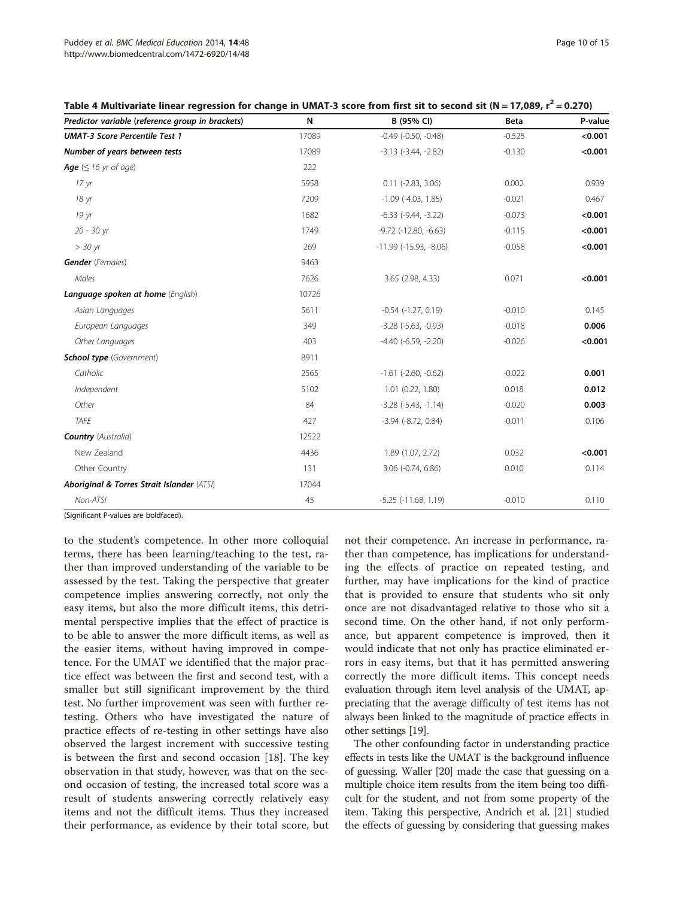| Predictor variable (reference group in brackets)      | N     | B (95% CI)                      | <b>Beta</b> | P-value |
|-------------------------------------------------------|-------|---------------------------------|-------------|---------|
| <b>UMAT-3 Score Percentile Test 1</b>                 | 17089 | $-0.49$ $(-0.50, -0.48)$        | $-0.525$    | < 0.001 |
| Number of years between tests                         | 17089 | $-3.13$ $(-3.44, -2.82)$        | $-0.130$    | < 0.001 |
| <b>Age</b> $(\leq 16$ yr of age)                      | 222   |                                 |             |         |
| 17 <sub>yr</sub>                                      | 5958  | $0.11$ (-2.83, 3.06)            | 0.002       | 0.939   |
| 18 yr                                                 | 7209  | $-1.09$ $(-4.03, 1.85)$         | $-0.021$    | 0.467   |
| 19 yr                                                 | 1682  | $-6.33$ $(-9.44, -3.22)$        | $-0.073$    | < 0.001 |
| 20 - 30 yr                                            | 1749  | $-9.72$ $(-12.80, -6.63)$       | $-0.115$    | < 0.001 |
| $> 30$ yr                                             | 269   | $-11.99$ ( $-15.93$ , $-8.06$ ) | $-0.058$    | < 0.001 |
| Gender (Females)                                      | 9463  |                                 |             |         |
| Males                                                 | 7626  | 3.65 (2.98, 4.33)               | 0.071       | < 0.001 |
| Language spoken at home (English)                     | 10726 |                                 |             |         |
| Asian Languages                                       | 5611  | $-0.54$ $(-1.27, 0.19)$         | $-0.010$    | 0.145   |
| European Languages                                    | 349   | $-3.28$ $(-5.63, -0.93)$        | $-0.018$    | 0.006   |
| Other Languages                                       | 403   | $-4.40$ $(-6.59, -2.20)$        | $-0.026$    | < 0.001 |
| <b>School type</b> (Government)                       | 8911  |                                 |             |         |
| Catholic                                              | 2565  | $-1.61$ $(-2.60, -0.62)$        | $-0.022$    | 0.001   |
| Independent                                           | 5102  | 1.01(0.22, 1.80)                | 0.018       | 0.012   |
| Other                                                 | 84    | $-3.28$ $(-5.43, -1.14)$        | $-0.020$    | 0.003   |
| <b>TAFE</b>                                           | 427   | $-3.94$ $(-8.72, 0.84)$         | $-0.011$    | 0.106   |
| <b>Country</b> (Australia)                            | 12522 |                                 |             |         |
| New Zealand                                           | 4436  | 1.89 (1.07, 2.72)               | 0.032       | < 0.001 |
| Other Country                                         | 131   | 3.06 (-0.74, 6.86)              | 0.010       | 0.114   |
| <b>Aboriginal &amp; Torres Strait Islander (ATSI)</b> | 17044 |                                 |             |         |
| Non-ATSI                                              | 45    | $-5.25$ $(-11.68, 1.19)$        | $-0.010$    | 0.110   |

<span id="page-9-0"></span>

|  | Table 4 Multivariate linear regression for change in UMAT-3 score from first sit to second sit (N = 17,089, r <sup>2</sup> = 0.270) |  |
|--|-------------------------------------------------------------------------------------------------------------------------------------|--|
|--|-------------------------------------------------------------------------------------------------------------------------------------|--|

to the student's competence. In other more colloquial terms, there has been learning/teaching to the test, rather than improved understanding of the variable to be assessed by the test. Taking the perspective that greater competence implies answering correctly, not only the easy items, but also the more difficult items, this detrimental perspective implies that the effect of practice is to be able to answer the more difficult items, as well as the easier items, without having improved in competence. For the UMAT we identified that the major practice effect was between the first and second test, with a smaller but still significant improvement by the third test. No further improvement was seen with further retesting. Others who have investigated the nature of practice effects of re-testing in other settings have also observed the largest increment with successive testing is between the first and second occasion [[18](#page-14-0)]. The key observation in that study, however, was that on the second occasion of testing, the increased total score was a result of students answering correctly relatively easy items and not the difficult items. Thus they increased their performance, as evidence by their total score, but

not their competence. An increase in performance, rather than competence, has implications for understanding the effects of practice on repeated testing, and further, may have implications for the kind of practice that is provided to ensure that students who sit only once are not disadvantaged relative to those who sit a second time. On the other hand, if not only performance, but apparent competence is improved, then it would indicate that not only has practice eliminated errors in easy items, but that it has permitted answering correctly the more difficult items. This concept needs evaluation through item level analysis of the UMAT, appreciating that the average difficulty of test items has not always been linked to the magnitude of practice effects in other settings [\[19](#page-14-0)].

The other confounding factor in understanding practice effects in tests like the UMAT is the background influence of guessing. Waller [\[20\]](#page-14-0) made the case that guessing on a multiple choice item results from the item being too difficult for the student, and not from some property of the item. Taking this perspective, Andrich et al. [[21](#page-14-0)] studied the effects of guessing by considering that guessing makes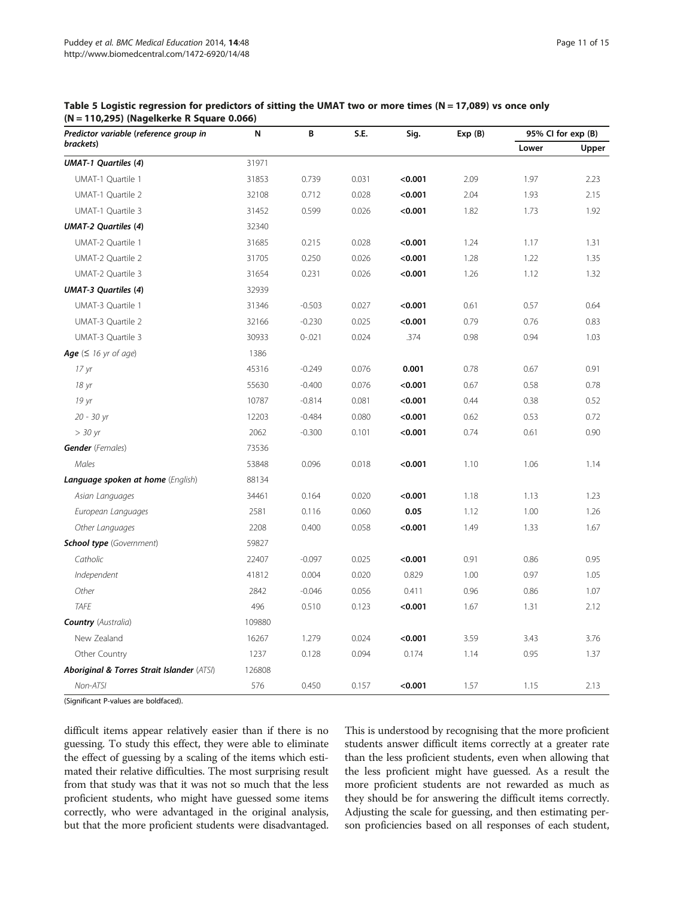<span id="page-10-0"></span>

| Table 5 Logistic regression for predictors of sitting the UMAT two or more times ( $N = 17,089$ ) vs once only |  |  |
|----------------------------------------------------------------------------------------------------------------|--|--|
| (N = 110,295) (Nagelkerke R Square 0.066)                                                                      |  |  |

| Predictor variable (reference group in     | N      | B         | S.E.  | Sig.    | Exp(B) | 95% CI for exp (B) |       |
|--------------------------------------------|--------|-----------|-------|---------|--------|--------------------|-------|
| brackets)                                  |        |           |       |         |        | Lower              | Upper |
| <b>UMAT-1 Quartiles (4)</b>                | 31971  |           |       |         |        |                    |       |
| UMAT-1 Quartile 1                          | 31853  | 0.739     | 0.031 | < 0.001 | 2.09   | 1.97               | 2.23  |
| UMAT-1 Quartile 2                          | 32108  | 0.712     | 0.028 | < 0.001 | 2.04   | 1.93               | 2.15  |
| UMAT-1 Quartile 3                          | 31452  | 0.599     | 0.026 | < 0.001 | 1.82   | 1.73               | 1.92  |
| <b>UMAT-2 Quartiles (4)</b>                | 32340  |           |       |         |        |                    |       |
| UMAT-2 Quartile 1                          | 31685  | 0.215     | 0.028 | < 0.001 | 1.24   | 1.17               | 1.31  |
| UMAT-2 Quartile 2                          | 31705  | 0.250     | 0.026 | < 0.001 | 1.28   | 1.22               | 1.35  |
| UMAT-2 Quartile 3                          | 31654  | 0.231     | 0.026 | < 0.001 | 1.26   | 1.12               | 1.32  |
| <b>UMAT-3 Quartiles (4)</b>                | 32939  |           |       |         |        |                    |       |
| UMAT-3 Quartile 1                          | 31346  | $-0.503$  | 0.027 | < 0.001 | 0.61   | 0.57               | 0.64  |
| UMAT-3 Quartile 2                          | 32166  | $-0.230$  | 0.025 | < 0.001 | 0.79   | 0.76               | 0.83  |
| UMAT-3 Quartile 3                          | 30933  | $0 - 021$ | 0.024 | .374    | 0.98   | 0.94               | 1.03  |
| <b>Age</b> ( $\leq$ 16 yr of age)          | 1386   |           |       |         |        |                    |       |
| 17 yr                                      | 45316  | $-0.249$  | 0.076 | 0.001   | 0.78   | 0.67               | 0.91  |
| 18 yr                                      | 55630  | $-0.400$  | 0.076 | < 0.001 | 0.67   | 0.58               | 0.78  |
| 19 yr                                      | 10787  | $-0.814$  | 0.081 | < 0.001 | 0.44   | 0.38               | 0.52  |
| 20 - 30 yr                                 | 12203  | $-0.484$  | 0.080 | < 0.001 | 0.62   | 0.53               | 0.72  |
| $> 30$ yr                                  | 2062   | $-0.300$  | 0.101 | < 0.001 | 0.74   | 0.61               | 0.90  |
| Gender (Females)                           | 73536  |           |       |         |        |                    |       |
| Males                                      | 53848  | 0.096     | 0.018 | < 0.001 | 1.10   | 1.06               | 1.14  |
| <b>Language spoken at home</b> (English)   | 88134  |           |       |         |        |                    |       |
| Asian Languages                            | 34461  | 0.164     | 0.020 | < 0.001 | 1.18   | 1.13               | 1.23  |
| European Languages                         | 2581   | 0.116     | 0.060 | 0.05    | 1.12   | 1.00               | 1.26  |
| Other Languages                            | 2208   | 0.400     | 0.058 | < 0.001 | 1.49   | 1.33               | 1.67  |
| <b>School type</b> (Government)            | 59827  |           |       |         |        |                    |       |
| Catholic                                   | 22407  | $-0.097$  | 0.025 | < 0.001 | 0.91   | 0.86               | 0.95  |
| Independent                                | 41812  | 0.004     | 0.020 | 0.829   | 1.00   | 0.97               | 1.05  |
| Other                                      | 2842   | $-0.046$  | 0.056 | 0.411   | 0.96   | 0.86               | 1.07  |
| <b>TAFE</b>                                | 496    | 0.510     | 0.123 | < 0.001 | 1.67   | 1.31               | 2.12  |
| <b>Country</b> (Australia)                 | 109880 |           |       |         |        |                    |       |
| New Zealand                                | 16267  | 1.279     | 0.024 | < 0.001 | 3.59   | 3.43               | 3.76  |
| Other Country                              | 1237   | 0.128     | 0.094 | 0.174   | 1.14   | 0.95               | 1.37  |
| Aboriginal & Torres Strait Islander (ATSI) | 126808 |           |       |         |        |                    |       |
| Non-ATSI                                   | 576    | 0.450     | 0.157 | < 0.001 | 1.57   | 1.15               | 2.13  |

difficult items appear relatively easier than if there is no guessing. To study this effect, they were able to eliminate the effect of guessing by a scaling of the items which estimated their relative difficulties. The most surprising result from that study was that it was not so much that the less proficient students, who might have guessed some items correctly, who were advantaged in the original analysis, but that the more proficient students were disadvantaged. This is understood by recognising that the more proficient students answer difficult items correctly at a greater rate than the less proficient students, even when allowing that the less proficient might have guessed. As a result the more proficient students are not rewarded as much as they should be for answering the difficult items correctly. Adjusting the scale for guessing, and then estimating person proficiencies based on all responses of each student,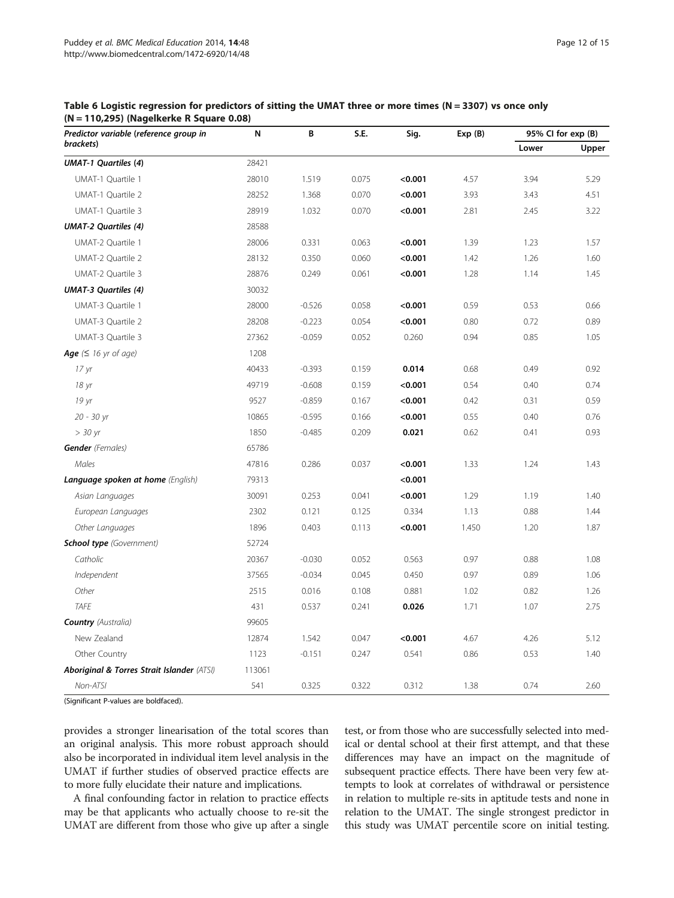Predictor variable (reference group in

brackets)

 $\overline{UMAT-1}$  Quartiles (4) UMAT-1 Quartile 1 UMAT-1 Ouartile 2 UMAT-1 Quartile 3 UMAT-2 Quartiles (4) UMAT-2 Ouartile 1

UMAT-2 Quartile 3 UMAT-3 Quartiles (4) UMAT-3 Quartile 1

UMAT-3 Quartile 3 Age  $(≤ 16$  yr of age)

Gender (Females) 65786

School type (Government) 52724

Country (Australia) 99605

Aboriginal & Torres Strait Islander (ATSI) 113061

Language spoken at home (English) 79313 <0.001

<span id="page-11-0"></span>

| dictor variable (reference group in | N     | В        | S.E.  | Sig.    | Exp(B) |       | 95% CI for exp (B) |
|-------------------------------------|-------|----------|-------|---------|--------|-------|--------------------|
| ıckets)                             |       |          |       |         |        | Lower | Upper              |
| <b>1AT-1 Quartiles (4)</b>          | 28421 |          |       |         |        |       |                    |
| UMAT-1 Quartile 1                   | 28010 | 1.519    | 0.075 | < 0.001 | 4.57   | 3.94  | 5.29               |
| UMAT-1 Quartile 2                   | 28252 | 1.368    | 0.070 | < 0.001 | 3.93   | 3.43  | 4.51               |
| UMAT-1 Quartile 3                   | 28919 | 1.032    | 0.070 | < 0.001 | 2.81   | 2.45  | 3.22               |
| <b>1AT-2 Quartiles (4)</b>          | 28588 |          |       |         |        |       |                    |
| UMAT-2 Quartile 1                   | 28006 | 0.331    | 0.063 | < 0.001 | 1.39   | 1.23  | 1.57               |
| UMAT-2 Quartile 2                   | 28132 | 0.350    | 0.060 | < 0.001 | 1.42   | 1.26  | 1.60               |
| UMAT-2 Quartile 3                   | 28876 | 0.249    | 0.061 | < 0.001 | 1.28   | 1.14  | 1.45               |
| 1AT-3 Quartiles (4)                 | 30032 |          |       |         |        |       |                    |
| UMAT-3 Quartile 1                   | 28000 | $-0.526$ | 0.058 | < 0.001 | 0.59   | 0.53  | 0.66               |
| UMAT-3 Quartile 2                   | 28208 | $-0.223$ | 0.054 | < 0.001 | 0.80   | 0.72  | 0.89               |
| UMAT-3 Quartile 3                   | 27362 | $-0.059$ | 0.052 | 0.260   | 0.94   | 0.85  | 1.05               |
| $e$ ( $\leq$ 16 yr of age)          | 1208  |          |       |         |        |       |                    |

Table 6 Logistic regression for predictors of the UMAT of sitting the UMAT of Sites  $(N = 110,295)$  (Nagelkerke R Squ

17 yr 40433 -0.393 0.159 0.014 0.68 0.49 0.92 18 yr 49719 -0.608 0.159 <0.001 0.54 0.40 0.74 19 yr 19 yr 19 yr 19 yr 19 yr 19 yr 19 yr 19 yr 19 yr 19 yr 19 yr 19 yr 19 yr 19 yr 19 yr 19 yr 19 yr 19 yr 19 20 - 30 yr 10865 -0.595 0.166 <0.001 0.55 0.40 0.76 > 30 yr 1850 -0.485 0.209 **0.021** 0.62 0.41 0.93

Males 47816 0.286 0.037 <0.001 1.33 1.24 1.43

Asian Languages 30091 0.253 0.041 <**0.001** 1.29 1.19 1.40 European Languages 2302 0.121 0.125 0.334 1.13 0.88 1.44 Other Languages 1896 0.403 0.113 <0.001 1.450 1.20 1.87

Catholic 20367 -0.030 0.052 0.563 0.97 0.88 1.08 Independent 37565 -0.034 0.045 0.450 0.97 0.89 1.06 Other 2515 0.016 0.108 0.881 1.02 0.82 1.26 TAFE 1.07 2.75 431 0.537 0.241 **0.026** 1.71 1.07 2.75

New Zealand 12874 1.542 0.047 <0.001 4.67 4.26 5.12 Other Country 1123 -0.151 0.247 0.541 0.86 0.53 1.40

Non-ATSI 541 0.325 0.322 0.312 1.38 0.74 2.60

(Significant P-values are boldfaced).

provides a stronger linearisation of the total scores than an original analysis. This more robust approach should also be incorporated in individual item level analysis in the UMAT if further studies of observed practice effects are to more fully elucidate their nature and implications.

A final confounding factor in relation to practice effects may be that applicants who actually choose to re-sit the UMAT are different from those who give up after a single

test, or from those who are successfully selected into medical or dental school at their first attempt, and that these differences may have an impact on the magnitude of subsequent practice effects. There have been very few attempts to look at correlates of withdrawal or persistence in relation to multiple re-sits in aptitude tests and none in relation to the UMAT. The single strongest predictor in this study was UMAT percentile score on initial testing.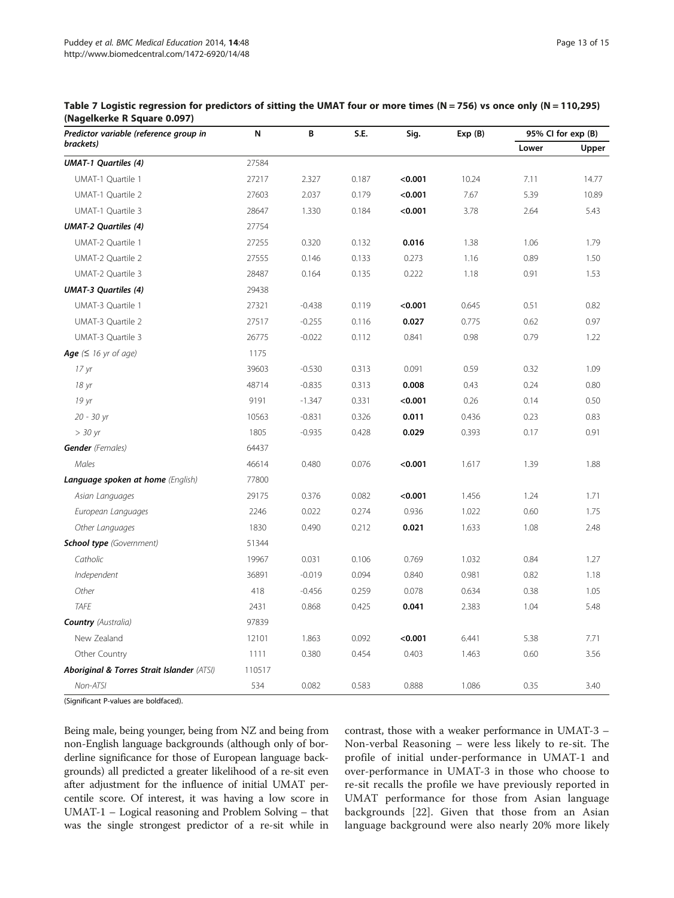| Predictor variable (reference group in                | Ν      | В        | S.E.  | Sig.    | Exp(B) | 95% CI for exp (B) |       |  |
|-------------------------------------------------------|--------|----------|-------|---------|--------|--------------------|-------|--|
| brackets)                                             |        |          |       |         |        | Lower              | Upper |  |
| <b>UMAT-1 Quartiles (4)</b>                           | 27584  |          |       |         |        |                    |       |  |
| UMAT-1 Quartile 1                                     | 27217  | 2.327    | 0.187 | < 0.001 | 10.24  | 7.11               | 14.77 |  |
| UMAT-1 Quartile 2                                     | 27603  | 2.037    | 0.179 | < 0.001 | 7.67   | 5.39               | 10.89 |  |
| UMAT-1 Quartile 3                                     | 28647  | 1.330    | 0.184 | < 0.001 | 3.78   | 2.64               | 5.43  |  |
| <b>UMAT-2 Quartiles (4)</b>                           | 27754  |          |       |         |        |                    |       |  |
| UMAT-2 Quartile 1                                     | 27255  | 0.320    | 0.132 | 0.016   | 1.38   | 1.06               | 1.79  |  |
| UMAT-2 Quartile 2                                     | 27555  | 0.146    | 0.133 | 0.273   | 1.16   | 0.89               | 1.50  |  |
| UMAT-2 Quartile 3                                     | 28487  | 0.164    | 0.135 | 0.222   | 1.18   | 0.91               | 1.53  |  |
| <b>UMAT-3 Quartiles (4)</b>                           | 29438  |          |       |         |        |                    |       |  |
| UMAT-3 Quartile 1                                     | 27321  | $-0.438$ | 0.119 | < 0.001 | 0.645  | 0.51               | 0.82  |  |
| UMAT-3 Quartile 2                                     | 27517  | $-0.255$ | 0.116 | 0.027   | 0.775  | 0.62               | 0.97  |  |
| UMAT-3 Quartile 3                                     | 26775  | $-0.022$ | 0.112 | 0.841   | 0.98   | 0.79               | 1.22  |  |
| Age $( \leq 16 \text{ yr of age})$                    | 1175   |          |       |         |        |                    |       |  |
| 17 yr                                                 | 39603  | $-0.530$ | 0.313 | 0.091   | 0.59   | 0.32               | 1.09  |  |
| 18 yr                                                 | 48714  | $-0.835$ | 0.313 | 0.008   | 0.43   | 0.24               | 0.80  |  |
| 19 yr                                                 | 9191   | $-1.347$ | 0.331 | < 0.001 | 0.26   | 0.14               | 0.50  |  |
| 20 - 30 yr                                            | 10563  | $-0.831$ | 0.326 | 0.011   | 0.436  | 0.23               | 0.83  |  |
| $> 30$ yr                                             | 1805   | $-0.935$ | 0.428 | 0.029   | 0.393  | 0.17               | 0.91  |  |
| Gender (Females)                                      | 64437  |          |       |         |        |                    |       |  |
| Males                                                 | 46614  | 0.480    | 0.076 | < 0.001 | 1.617  | 1.39               | 1.88  |  |
| Language spoken at home (English)                     | 77800  |          |       |         |        |                    |       |  |
| Asian Languages                                       | 29175  | 0.376    | 0.082 | < 0.001 | 1.456  | 1.24               | 1.71  |  |
| European Languages                                    | 2246   | 0.022    | 0.274 | 0.936   | 1.022  | 0.60               | 1.75  |  |
| Other Languages                                       | 1830   | 0.490    | 0.212 | 0.021   | 1.633  | 1.08               | 2.48  |  |
| <b>School type</b> (Government)                       | 51344  |          |       |         |        |                    |       |  |
| Catholic                                              | 19967  | 0.031    | 0.106 | 0.769   | 1.032  | 0.84               | 1.27  |  |
| Independent                                           | 36891  | $-0.019$ | 0.094 | 0.840   | 0.981  | 0.82               | 1.18  |  |
| Other                                                 | 418    | $-0.456$ | 0.259 | 0.078   | 0.634  | 0.38               | 1.05  |  |
| <b>TAFE</b>                                           | 2431   | 0.868    | 0.425 | 0.041   | 2.383  | 1.04               | 5.48  |  |
| <b>Country</b> (Australia)                            | 97839  |          |       |         |        |                    |       |  |
| New Zealand                                           | 12101  | 1.863    | 0.092 | < 0.001 | 6.441  | 5.38               | 7.71  |  |
| Other Country                                         | 1111   | 0.380    | 0.454 | 0.403   | 1.463  | 0.60               | 3.56  |  |
| <b>Aboriginal &amp; Torres Strait Islander (ATSI)</b> | 110517 |          |       |         |        |                    |       |  |
| Non-ATSI                                              | 534    | 0.082    | 0.583 | 0.888   | 1.086  | 0.35               | 3.40  |  |

<span id="page-12-0"></span>Table 7 Logistic regression for predictors of sitting the UMAT four or more times (N = 756) vs once only (N = 110,295) (Nagelkerke R Square 0.097)

Being male, being younger, being from NZ and being from non-English language backgrounds (although only of borderline significance for those of European language backgrounds) all predicted a greater likelihood of a re-sit even after adjustment for the influence of initial UMAT percentile score. Of interest, it was having a low score in UMAT-1 – Logical reasoning and Problem Solving – that was the single strongest predictor of a re-sit while in contrast, those with a weaker performance in UMAT-3 – Non-verbal Reasoning – were less likely to re-sit. The profile of initial under-performance in UMAT-1 and over-performance in UMAT-3 in those who choose to re-sit recalls the profile we have previously reported in UMAT performance for those from Asian language backgrounds [[22\]](#page-14-0). Given that those from an Asian language background were also nearly 20% more likely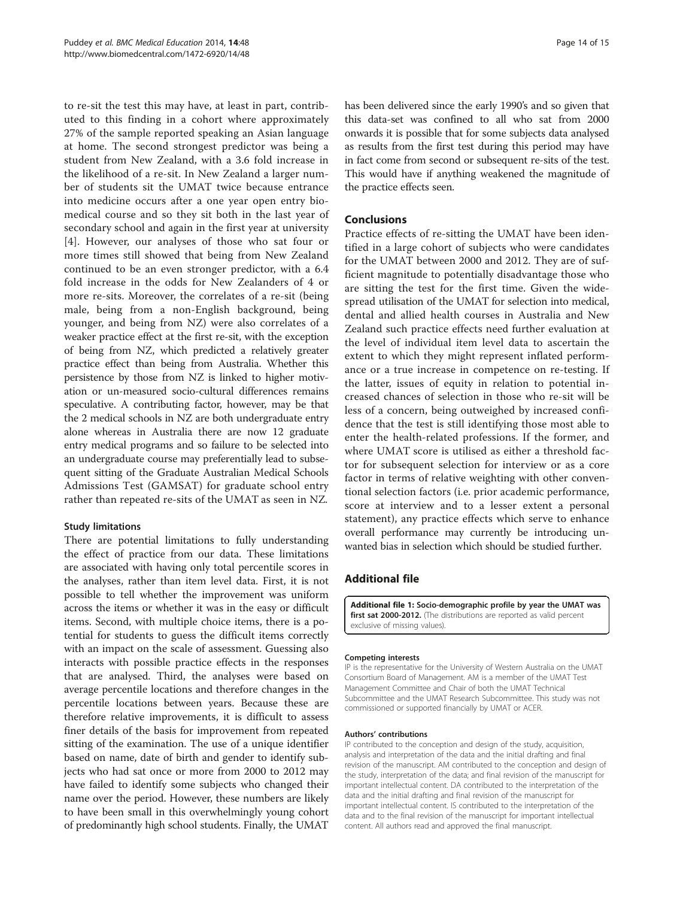<span id="page-13-0"></span>to re-sit the test this may have, at least in part, contributed to this finding in a cohort where approximately 27% of the sample reported speaking an Asian language at home. The second strongest predictor was being a student from New Zealand, with a 3.6 fold increase in the likelihood of a re-sit. In New Zealand a larger number of students sit the UMAT twice because entrance into medicine occurs after a one year open entry biomedical course and so they sit both in the last year of secondary school and again in the first year at university [[4\]](#page-14-0). However, our analyses of those who sat four or more times still showed that being from New Zealand continued to be an even stronger predictor, with a 6.4 fold increase in the odds for New Zealanders of 4 or more re-sits. Moreover, the correlates of a re-sit (being male, being from a non-English background, being younger, and being from NZ) were also correlates of a weaker practice effect at the first re-sit, with the exception of being from NZ, which predicted a relatively greater practice effect than being from Australia. Whether this persistence by those from NZ is linked to higher motivation or un-measured socio-cultural differences remains speculative. A contributing factor, however, may be that the 2 medical schools in NZ are both undergraduate entry alone whereas in Australia there are now 12 graduate entry medical programs and so failure to be selected into an undergraduate course may preferentially lead to subsequent sitting of the Graduate Australian Medical Schools Admissions Test (GAMSAT) for graduate school entry rather than repeated re-sits of the UMAT as seen in NZ.

### Study limitations

There are potential limitations to fully understanding the effect of practice from our data. These limitations are associated with having only total percentile scores in the analyses, rather than item level data. First, it is not possible to tell whether the improvement was uniform across the items or whether it was in the easy or difficult items. Second, with multiple choice items, there is a potential for students to guess the difficult items correctly with an impact on the scale of assessment. Guessing also interacts with possible practice effects in the responses that are analysed. Third, the analyses were based on average percentile locations and therefore changes in the percentile locations between years. Because these are therefore relative improvements, it is difficult to assess finer details of the basis for improvement from repeated sitting of the examination. The use of a unique identifier based on name, date of birth and gender to identify subjects who had sat once or more from 2000 to 2012 may have failed to identify some subjects who changed their name over the period. However, these numbers are likely to have been small in this overwhelmingly young cohort of predominantly high school students. Finally, the UMAT has been delivered since the early 1990's and so given that this data-set was confined to all who sat from 2000 onwards it is possible that for some subjects data analysed as results from the first test during this period may have in fact come from second or subsequent re-sits of the test. This would have if anything weakened the magnitude of the practice effects seen.

### Conclusions

Practice effects of re-sitting the UMAT have been identified in a large cohort of subjects who were candidates for the UMAT between 2000 and 2012. They are of sufficient magnitude to potentially disadvantage those who are sitting the test for the first time. Given the widespread utilisation of the UMAT for selection into medical, dental and allied health courses in Australia and New Zealand such practice effects need further evaluation at the level of individual item level data to ascertain the extent to which they might represent inflated performance or a true increase in competence on re-testing. If the latter, issues of equity in relation to potential increased chances of selection in those who re-sit will be less of a concern, being outweighed by increased confidence that the test is still identifying those most able to enter the health-related professions. If the former, and where UMAT score is utilised as either a threshold factor for subsequent selection for interview or as a core factor in terms of relative weighting with other conventional selection factors (i.e. prior academic performance, score at interview and to a lesser extent a personal statement), any practice effects which serve to enhance overall performance may currently be introducing unwanted bias in selection which should be studied further.

### Additional file

[Additional file 1:](http://www.biomedcentral.com/content/supplementary/1472-6920-14-48-S1.docx) Socio-demographic profile by year the UMAT was first sat 2000-2012. (The distributions are reported as valid percent exclusive of missing values).

#### Competing interests

IP is the representative for the University of Western Australia on the UMAT Consortium Board of Management. AM is a member of the UMAT Test Management Committee and Chair of both the UMAT Technical Subcommittee and the UMAT Research Subcommittee. This study was not commissioned or supported financially by UMAT or ACER.

#### Authors' contributions

IP contributed to the conception and design of the study, acquisition, analysis and interpretation of the data and the initial drafting and final revision of the manuscript. AM contributed to the conception and design of the study, interpretation of the data; and final revision of the manuscript for important intellectual content. DA contributed to the interpretation of the data and the initial drafting and final revision of the manuscript for important intellectual content. IS contributed to the interpretation of the data and to the final revision of the manuscript for important intellectual content. All authors read and approved the final manuscript.